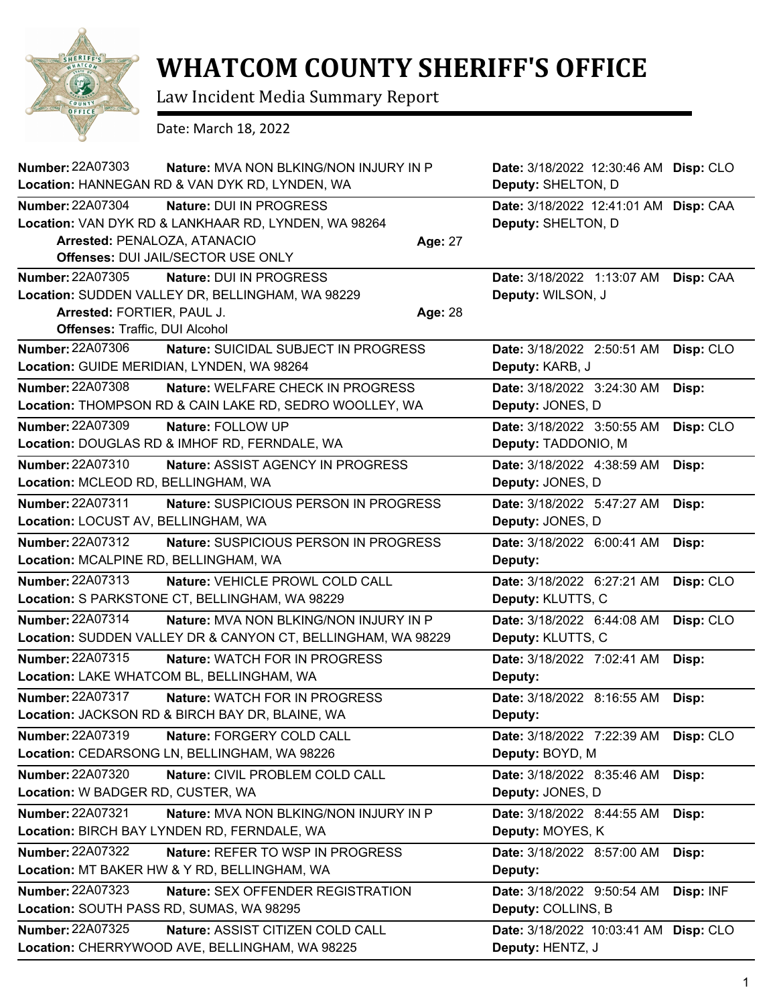

## **WHATCOM COUNTY SHERIFF'S OFFICE**

Law Incident Media Summary Report

Date: March 18, 2022

| <b>Number: 22A07303</b><br>Nature: MVA NON BLKING/NON INJURY IN P<br>Location: HANNEGAN RD & VAN DYK RD, LYNDEN, WA | Date: 3/18/2022 12:30:46 AM Disp: CLO<br>Deputy: SHELTON, D |
|---------------------------------------------------------------------------------------------------------------------|-------------------------------------------------------------|
| <b>Number: 22A07304</b><br>Nature: DUI IN PROGRESS                                                                  | Date: 3/18/2022 12:41:01 AM Disp: CAA                       |
| Location: VAN DYK RD & LANKHAAR RD, LYNDEN, WA 98264                                                                | Deputy: SHELTON, D                                          |
| Arrested: PENALOZA, ATANACIO<br><b>Age: 27</b>                                                                      |                                                             |
| Offenses: DUI JAIL/SECTOR USE ONLY                                                                                  |                                                             |
| Number: 22A07305<br>Nature: DUI IN PROGRESS                                                                         | Date: 3/18/2022 1:13:07 AM<br>Disp: CAA                     |
| Location: SUDDEN VALLEY DR, BELLINGHAM, WA 98229                                                                    | Deputy: WILSON, J                                           |
| Arrested: FORTIER, PAUL J.<br>Age: 28                                                                               |                                                             |
| <b>Offenses: Traffic, DUI Alcohol</b>                                                                               |                                                             |
| Number: 22A07306<br>Nature: SUICIDAL SUBJECT IN PROGRESS                                                            | Disp: CLO<br>Date: 3/18/2022 2:50:51 AM                     |
| Location: GUIDE MERIDIAN, LYNDEN, WA 98264                                                                          | Deputy: KARB, J                                             |
| <b>Number: 22A07308</b><br><b>Nature: WELFARE CHECK IN PROGRESS</b>                                                 | Date: 3/18/2022 3:24:30 AM<br>Disp:                         |
| Location: THOMPSON RD & CAIN LAKE RD, SEDRO WOOLLEY, WA                                                             | Deputy: JONES, D                                            |
| <b>Number: 22A07309</b><br>Nature: FOLLOW UP                                                                        | Date: 3/18/2022 3:50:55 AM<br>Disp: CLO                     |
| Location: DOUGLAS RD & IMHOF RD, FERNDALE, WA                                                                       | Deputy: TADDONIO, M                                         |
| Number: 22A07310<br>Nature: ASSIST AGENCY IN PROGRESS                                                               | Date: 3/18/2022 4:38:59 AM<br>Disp:                         |
| Location: MCLEOD RD, BELLINGHAM, WA                                                                                 | Deputy: JONES, D                                            |
| Number: 22A07311<br>Nature: SUSPICIOUS PERSON IN PROGRESS                                                           | Date: 3/18/2022 5:47:27 AM<br>Disp:                         |
| Location: LOCUST AV, BELLINGHAM, WA                                                                                 | Deputy: JONES, D                                            |
| Number: 22A07312<br>Nature: SUSPICIOUS PERSON IN PROGRESS                                                           | Date: 3/18/2022 6:00:41 AM<br>Disp:                         |
| Location: MCALPINE RD, BELLINGHAM, WA                                                                               | Deputy:                                                     |
| Number: 22A07313<br>Nature: VEHICLE PROWL COLD CALL                                                                 | Disp: CLO<br>Date: 3/18/2022 6:27:21 AM                     |
| Location: S PARKSTONE CT, BELLINGHAM, WA 98229                                                                      | Deputy: KLUTTS, C                                           |
| Number: 22A07314<br>Nature: MVA NON BLKING/NON INJURY IN P                                                          | Date: 3/18/2022 6:44:08 AM<br>Disp: CLO                     |
| Location: SUDDEN VALLEY DR & CANYON CT, BELLINGHAM, WA 98229                                                        | Deputy: KLUTTS, C                                           |
| Number: 22A07315<br>Nature: WATCH FOR IN PROGRESS                                                                   | Date: 3/18/2022 7:02:41 AM<br>Disp:                         |
| Location: LAKE WHATCOM BL, BELLINGHAM, WA                                                                           | Deputy:                                                     |
| <b>Number: 22A07317</b><br><b>Nature: WATCH FOR IN PROGRESS</b>                                                     | Date: 3/18/2022 8:16:55 AM<br>Disp:                         |
| Location: JACKSON RD & BIRCH BAY DR, BLAINE, WA                                                                     | Deputy:                                                     |
| Number: 22A07319<br>Nature: FORGERY COLD CALL                                                                       | Disp: CLO<br>Date: 3/18/2022 7:22:39 AM                     |
| Location: CEDARSONG LN, BELLINGHAM, WA 98226                                                                        | Deputy: BOYD, M                                             |
| <b>Number: 22A07320</b><br>Nature: CIVIL PROBLEM COLD CALL                                                          | Date: 3/18/2022 8:35:46 AM<br>Disp:                         |
| Location: W BADGER RD, CUSTER, WA                                                                                   | Deputy: JONES, D                                            |
| <b>Number: 22A07321</b><br>Nature: MVA NON BLKING/NON INJURY IN P                                                   | Date: 3/18/2022 8:44:55 AM<br>Disp:                         |
| Location: BIRCH BAY LYNDEN RD, FERNDALE, WA                                                                         | Deputy: MOYES, K                                            |
| <b>Number: 22A07322</b><br>Nature: REFER TO WSP IN PROGRESS                                                         | Date: 3/18/2022 8:57:00 AM<br>Disp:                         |
| Location: MT BAKER HW & Y RD, BELLINGHAM, WA                                                                        | Deputy:                                                     |
| <b>Number: 22A07323</b><br>Nature: SEX OFFENDER REGISTRATION                                                        | Disp: INF<br>Date: 3/18/2022 9:50:54 AM                     |
| Location: SOUTH PASS RD, SUMAS, WA 98295                                                                            | Deputy: COLLINS, B                                          |
| Number: 22A07325<br>Nature: ASSIST CITIZEN COLD CALL                                                                | Date: 3/18/2022 10:03:41 AM Disp: CLO                       |
| Location: CHERRYWOOD AVE, BELLINGHAM, WA 98225                                                                      | Deputy: HENTZ, J                                            |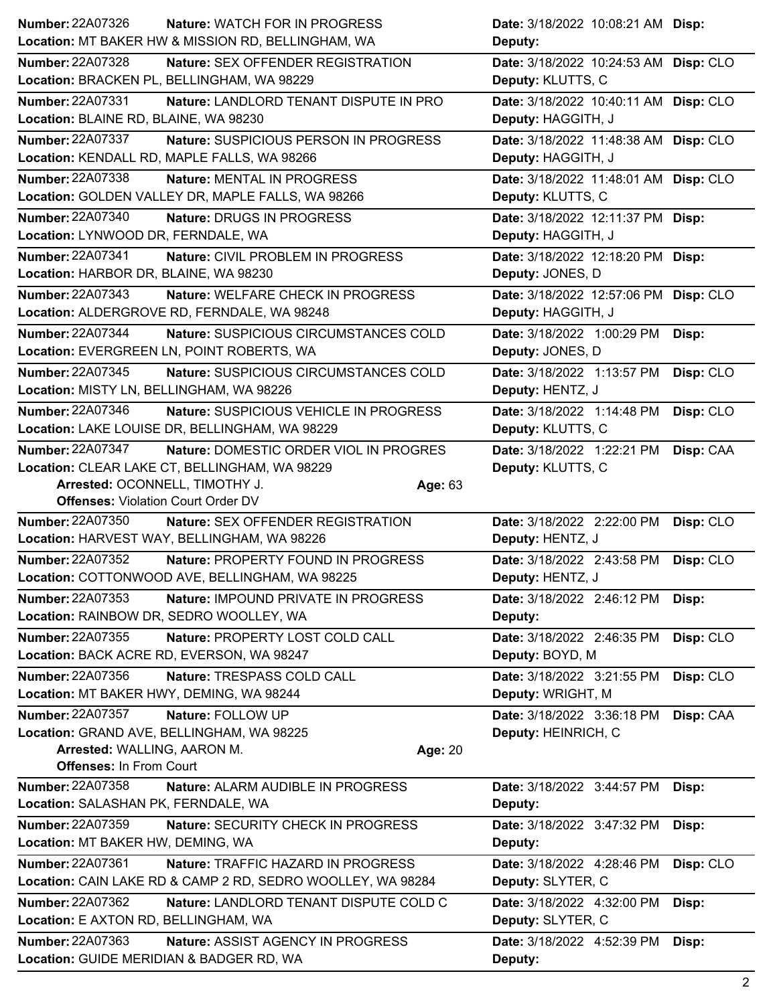| <b>Number: 22A07326</b>                                      | <b>Nature: WATCH FOR IN PROGRESS</b>                           | Date: 3/18/2022 10:08:21 AM Disp:                 |           |
|--------------------------------------------------------------|----------------------------------------------------------------|---------------------------------------------------|-----------|
|                                                              | Location: MT BAKER HW & MISSION RD, BELLINGHAM, WA             | Deputy:                                           |           |
| <b>Number: 22A07328</b>                                      | Nature: SEX OFFENDER REGISTRATION                              | Date: 3/18/2022 10:24:53 AM Disp: CLO             |           |
|                                                              | Location: BRACKEN PL, BELLINGHAM, WA 98229                     | Deputy: KLUTTS, C                                 |           |
| Number: 22A07331                                             | Nature: LANDLORD TENANT DISPUTE IN PRO                         | Date: 3/18/2022 10:40:11 AM Disp: CLO             |           |
| Location: BLAINE RD, BLAINE, WA 98230                        |                                                                | Deputy: HAGGITH, J                                |           |
| Number: 22A07337                                             | Nature: SUSPICIOUS PERSON IN PROGRESS                          | Date: 3/18/2022 11:48:38 AM Disp: CLO             |           |
|                                                              | Location: KENDALL RD, MAPLE FALLS, WA 98266                    | Deputy: HAGGITH, J                                |           |
| Number: 22A07338                                             | <b>Nature: MENTAL IN PROGRESS</b>                              | Date: 3/18/2022 11:48:01 AM Disp: CLO             |           |
|                                                              | Location: GOLDEN VALLEY DR, MAPLE FALLS, WA 98266              | Deputy: KLUTTS, C                                 |           |
| Number: 22A07340                                             | Nature: DRUGS IN PROGRESS                                      | Date: 3/18/2022 12:11:37 PM Disp:                 |           |
| Location: LYNWOOD DR, FERNDALE, WA                           |                                                                | Deputy: HAGGITH, J                                |           |
| <b>Number: 22A07341</b>                                      | Nature: CIVIL PROBLEM IN PROGRESS                              | Date: 3/18/2022 12:18:20 PM Disp:                 |           |
| Location: HARBOR DR, BLAINE, WA 98230                        |                                                                | Deputy: JONES, D                                  |           |
| Number: 22A07343                                             | Nature: WELFARE CHECK IN PROGRESS                              | Date: 3/18/2022 12:57:06 PM Disp: CLO             |           |
|                                                              | Location: ALDERGROVE RD, FERNDALE, WA 98248                    | Deputy: HAGGITH, J                                |           |
| <b>Number: 22A07344</b>                                      | Nature: SUSPICIOUS CIRCUMSTANCES COLD                          | Date: 3/18/2022 1:00:29 PM                        | Disp:     |
|                                                              | Location: EVERGREEN LN, POINT ROBERTS, WA                      | Deputy: JONES, D                                  |           |
| Number: 22A07345                                             | Nature: SUSPICIOUS CIRCUMSTANCES COLD                          | Date: 3/18/2022 1:13:57 PM                        | Disp: CLO |
| Location: MISTY LN, BELLINGHAM, WA 98226                     |                                                                | Deputy: HENTZ, J                                  |           |
| <b>Number: 22A07346</b>                                      | Nature: SUSPICIOUS VEHICLE IN PROGRESS                         | Date: 3/18/2022 1:14:48 PM                        | Disp: CLO |
|                                                              | Location: LAKE LOUISE DR, BELLINGHAM, WA 98229                 | Deputy: KLUTTS, C                                 |           |
| <b>Number: 22A07347</b>                                      | Nature: DOMESTIC ORDER VIOL IN PROGRES                         | Date: 3/18/2022 1:22:21 PM                        | Disp: CAA |
|                                                              | Location: CLEAR LAKE CT, BELLINGHAM, WA 98229                  | Deputy: KLUTTS, C                                 |           |
| Arrested: OCONNELL, TIMOTHY J.                               | Age: 63                                                        |                                                   |           |
|                                                              |                                                                |                                                   |           |
| <b>Offenses: Violation Court Order DV</b>                    |                                                                |                                                   |           |
| Number: 22A07350                                             | Nature: SEX OFFENDER REGISTRATION                              | Date: 3/18/2022 2:22:00 PM                        | Disp: CLO |
|                                                              | Location: HARVEST WAY, BELLINGHAM, WA 98226                    | Deputy: HENTZ, J                                  |           |
| Number: 22A07352                                             | Nature: PROPERTY FOUND IN PROGRESS                             | Date: 3/18/2022 2:43:58 PM                        | Disp: CLO |
|                                                              | Location: COTTONWOOD AVE, BELLINGHAM, WA 98225                 | Deputy: HENTZ, J                                  |           |
| Number: 22A07353                                             | Nature: IMPOUND PRIVATE IN PROGRESS                            | Date: 3/18/2022 2:46:12 PM Disp:                  |           |
|                                                              | Location: RAINBOW DR, SEDRO WOOLLEY, WA                        | Deputy:                                           |           |
| Number: 22A07355                                             | Nature: PROPERTY LOST COLD CALL                                | Date: 3/18/2022 2:46:35 PM                        | Disp: CLO |
|                                                              | Location: BACK ACRE RD, EVERSON, WA 98247                      | Deputy: BOYD, M                                   |           |
| Number: 22A07356<br>Location: MT BAKER HWY, DEMING, WA 98244 | Nature: TRESPASS COLD CALL                                     | Date: 3/18/2022 3:21:55 PM<br>Deputy: WRIGHT, M   | Disp: CLO |
| <b>Number: 22A07357</b>                                      |                                                                |                                                   |           |
|                                                              | Nature: FOLLOW UP<br>Location: GRAND AVE, BELLINGHAM, WA 98225 | Date: 3/18/2022 3:36:18 PM<br>Deputy: HEINRICH, C | Disp: CAA |
| Arrested: WALLING, AARON M.                                  | Age: 20                                                        |                                                   |           |
| <b>Offenses: In From Court</b>                               |                                                                |                                                   |           |
| Number: 22A07358                                             | Nature: ALARM AUDIBLE IN PROGRESS                              | Date: 3/18/2022 3:44:57 PM                        | Disp:     |
| Location: SALASHAN PK, FERNDALE, WA                          |                                                                | Deputy:                                           |           |
| Number: 22A07359                                             | Nature: SECURITY CHECK IN PROGRESS                             | Date: 3/18/2022 3:47:32 PM                        | Disp:     |
| Location: MT BAKER HW, DEMING, WA                            |                                                                | Deputy:                                           |           |
| Number: 22A07361                                             | Nature: TRAFFIC HAZARD IN PROGRESS                             | Date: 3/18/2022 4:28:46 PM                        | Disp: CLO |
|                                                              | Location: CAIN LAKE RD & CAMP 2 RD, SEDRO WOOLLEY, WA 98284    | Deputy: SLYTER, C                                 |           |
| <b>Number: 22A07362</b>                                      | Nature: LANDLORD TENANT DISPUTE COLD C                         | Date: 3/18/2022 4:32:00 PM                        | Disp:     |
| Location: E AXTON RD, BELLINGHAM, WA                         |                                                                | Deputy: SLYTER, C                                 |           |
| Number: 22A07363                                             | Nature: ASSIST AGENCY IN PROGRESS                              | Date: 3/18/2022 4:52:39 PM                        | Disp:     |